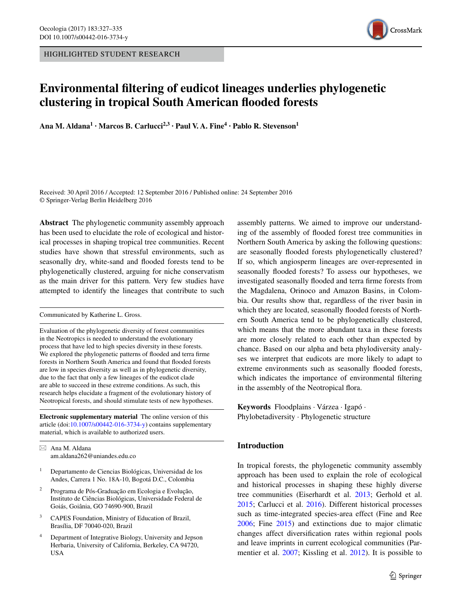HIGHLIGHTED STUDENT RESEARCH



# **Environmental filtering of eudicot lineages underlies phylogenetic clustering in tropical South American flooded forests**

**Ana M. Aldana1 · Marcos B. Carlucci2,3 · Paul V. A. Fine4 · Pablo R. Stevenson1**

Received: 30 April 2016 / Accepted: 12 September 2016 / Published online: 24 September 2016 © Springer-Verlag Berlin Heidelberg 2016

**Abstract** The phylogenetic community assembly approach has been used to elucidate the role of ecological and historical processes in shaping tropical tree communities. Recent studies have shown that stressful environments, such as seasonally dry, white-sand and flooded forests tend to be phylogenetically clustered, arguing for niche conservatism as the main driver for this pattern. Very few studies have attempted to identify the lineages that contribute to such

Communicated by Katherine L. Gross.

Evaluation of the phylogenetic diversity of forest communities in the Neotropics is needed to understand the evolutionary process that have led to high species diversity in these forests. We explored the phylogenetic patterns of flooded and terra firme forests in Northern South America and found that flooded forests are low in species diversity as well as in phylogenetic diversity, due to the fact that only a few lineages of the eudicot clade are able to succeed in these extreme conditions. As such, this research helps elucidate a fragment of the evolutionary history of Neotropical forests, and should stimulate tests of new hypotheses.

**Electronic supplementary material** The online version of this article (doi[:10.1007/s00442-016-3734-y](http://dx.doi.org/10.1007/s00442-016-3734-y)) contains supplementary material, which is available to authorized users.

 $\boxtimes$  Ana M. Aldana am.aldana262@uniandes.edu.co

- <sup>1</sup> Departamento de Ciencias Biológicas, Universidad de los Andes, Carrera 1 No. 18A-10, Bogotá D.C., Colombia
- <sup>2</sup> Programa de Pós-Graduação em Ecologia e Evolução, Instituto de Ciências Biológicas, Universidade Federal de Goiás, Goiânia, GO 74690-900, Brazil
- <sup>3</sup> CAPES Foundation, Ministry of Education of Brazil, Brasília, DF 70040-020, Brazil
- <sup>4</sup> Department of Integrative Biology, University and Jepson Herbaria, University of California, Berkeley, CA 94720, **USA**

assembly patterns. We aimed to improve our understanding of the assembly of flooded forest tree communities in Northern South America by asking the following questions: are seasonally flooded forests phylogenetically clustered? If so, which angiosperm lineages are over-represented in seasonally flooded forests? To assess our hypotheses, we investigated seasonally flooded and terra firme forests from the Magdalena, Orinoco and Amazon Basins, in Colombia. Our results show that, regardless of the river basin in which they are located, seasonally flooded forests of Northern South America tend to be phylogenetically clustered, which means that the more abundant taxa in these forests are more closely related to each other than expected by chance. Based on our alpha and beta phylodiversity analyses we interpret that eudicots are more likely to adapt to extreme environments such as seasonally flooded forests, which indicates the importance of environmental filtering in the assembly of the Neotropical flora.

**Keywords** Floodplains · Várzea · Igapó · Phylobetadiversity · Phylogenetic structure

# **Introduction**

In tropical forests, the phylogenetic community assembly approach has been used to explain the role of ecological and historical processes in shaping these highly diverse tree communities (Eiserhardt et al. [2013;](#page-7-0) Gerhold et al. [2015](#page-7-1); Carlucci et al. [2016](#page-7-2)). Different historical processes such as time-integrated species-area effect (Fine and Ree [2006](#page-7-3); Fine [2015](#page-7-4)) and extinctions due to major climatic changes affect diversification rates within regional pools and leave imprints in current ecological communities (Parmentier et al. [2007](#page-7-5); Kissling et al. [2012](#page-7-6)). It is possible to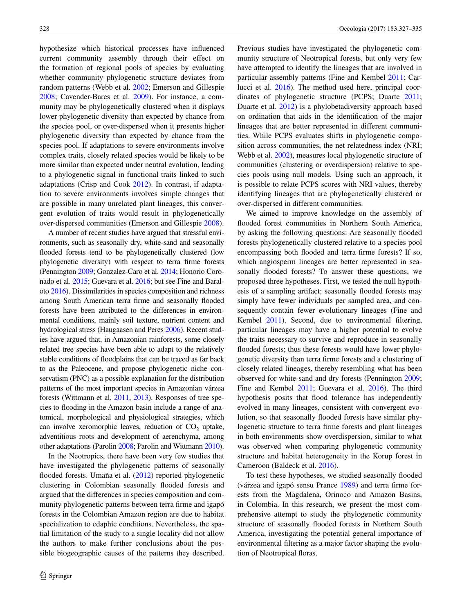hypothesize which historical processes have influenced current community assembly through their effect on the formation of regional pools of species by evaluating whether community phylogenetic structure deviates from random patterns (Webb et al. [2002](#page-8-0); Emerson and Gillespie [2008](#page-7-7); Cavender-Bares et al. [2009\)](#page-7-8). For instance, a community may be phylogenetically clustered when it displays lower phylogenetic diversity than expected by chance from the species pool, or over-dispersed when it presents higher phylogenetic diversity than expected by chance from the species pool. If adaptations to severe environments involve complex traits, closely related species would be likely to be more similar than expected under neutral evolution, leading to a phylogenetic signal in functional traits linked to such adaptations (Crisp and Cook [2012](#page-7-9)). In contrast, if adaptation to severe environments involves simple changes that are possible in many unrelated plant lineages, this convergent evolution of traits would result in phylogenetically over-dispersed communities (Emerson and Gillespie [2008\)](#page-7-7).

A number of recent studies have argued that stressful environments, such as seasonally dry, white-sand and seasonally flooded forests tend to be phylogenetically clustered (low phylogenetic diversity) with respect to terra firme forests (Pennington [2009](#page-7-10); Gonzalez-Caro et al. [2014;](#page-7-11) Honorio Coronado et al. [2015](#page-7-12); Guevara et al. [2016;](#page-7-13) but see Fine and Baraloto [2016](#page-7-14)). Dissimilarities in species composition and richness among South American terra firme and seasonally flooded forests have been attributed to the differences in environmental conditions, mainly soil texture, nutrient content and hydrological stress (Haugaasen and Peres [2006\)](#page-7-15). Recent studies have argued that, in Amazonian rainforests, some closely related tree species have been able to adapt to the relatively stable conditions of floodplains that can be traced as far back to as the Paleocene, and propose phylogenetic niche conservatism (PNC) as a possible explanation for the distribution patterns of the most important species in Amazonian várzea forests (Wittmann et al. [2011](#page-8-1), [2013](#page-8-2)). Responses of tree species to flooding in the Amazon basin include a range of anatomical, morphological and physiological strategies, which can involve xeromorphic leaves, reduction of  $CO<sub>2</sub>$  uptake, adventitious roots and development of aerenchyma, among other adaptations (Parolin [2008](#page-7-16); Parolin and Wittmann [2010](#page-7-17)).

In the Neotropics, there have been very few studies that have investigated the phylogenetic patterns of seasonally flooded forests. Umaña et al. ([2012\)](#page-8-3) reported phylogenetic clustering in Colombian seasonally flooded forests and argued that the differences in species composition and community phylogenetic patterns between terra firme and igapó forests in the Colombian Amazon region are due to habitat specialization to edaphic conditions. Nevertheless, the spatial limitation of the study to a single locality did not allow the authors to make further conclusions about the possible biogeographic causes of the patterns they described. Previous studies have investigated the phylogenetic community structure of Neotropical forests, but only very few have attempted to identify the lineages that are involved in particular assembly patterns (Fine and Kembel [2011;](#page-7-18) Carlucci et al. [2016\)](#page-7-2). The method used here, principal coordinates of phylogenetic structure (PCPS; Duarte [2011](#page-7-19); Duarte et al. [2012](#page-7-20)) is a phylobetadiversity approach based on ordination that aids in the identification of the major lineages that are better represented in different communities. While PCPS evaluates shifts in phylogenetic composition across communities, the net relatedness index (NRI; Webb et al. [2002\)](#page-8-0), measures local phylogenetic structure of communities (clustering or overdispersion) relative to species pools using null models. Using such an approach, it is possible to relate PCPS scores with NRI values, thereby identifying lineages that are phylogenetically clustered or over-dispersed in different communities.

We aimed to improve knowledge on the assembly of flooded forest communities in Northern South America, by asking the following questions: Are seasonally flooded forests phylogenetically clustered relative to a species pool encompassing both flooded and terra firme forests? If so, which angiosperm lineages are better represented in seasonally flooded forests? To answer these questions, we proposed three hypotheses. First, we tested the null hypothesis of a sampling artifact; seasonally flooded forests may simply have fewer individuals per sampled area, and consequently contain fewer evolutionary lineages (Fine and Kembel [2011](#page-7-18)). Second, due to environmental filtering, particular lineages may have a higher potential to evolve the traits necessary to survive and reproduce in seasonally flooded forests; thus these forests would have lower phylogenetic diversity than terra firme forests and a clustering of closely related lineages, thereby resembling what has been observed for white-sand and dry forests (Pennington [2009](#page-7-10); Fine and Kembel [2011;](#page-7-18) Guevara et al. [2016\)](#page-7-13). The third hypothesis posits that flood tolerance has independently evolved in many lineages, consistent with convergent evolution, so that seasonally flooded forests have similar phylogenetic structure to terra firme forests and plant lineages in both environments show overdispersion, similar to what was observed when comparing phylogenetic community structure and habitat heterogeneity in the Korup forest in Cameroon (Baldeck et al. [2016\)](#page-7-21).

To test these hypotheses, we studied seasonally flooded (várzea and igapó sensu Prance [1989\)](#page-8-4) and terra firme forests from the Magdalena, Orinoco and Amazon Basins, in Colombia. In this research, we present the most comprehensive attempt to study the phylogenetic community structure of seasonally flooded forests in Northern South America, investigating the potential general importance of environmental filtering as a major factor shaping the evolution of Neotropical floras.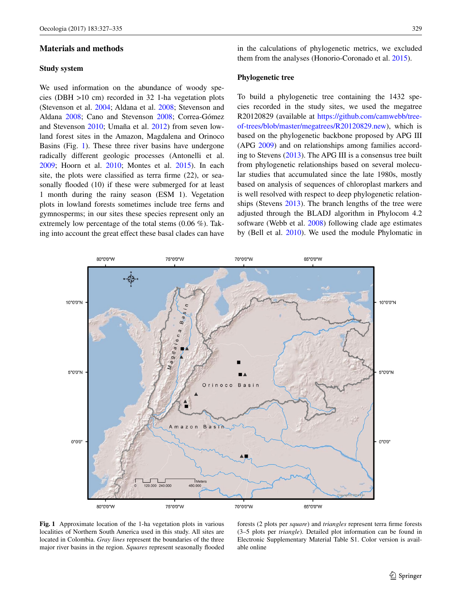#### **Materials and methods**

### **Study system**

We used information on the abundance of woody species (DBH >10 cm) recorded in 32 1-ha vegetation plots (Stevenson et al. [2004](#page-8-5); Aldana et al. [2008](#page-6-0); Stevenson and Aldana [2008;](#page-8-6) Cano and Stevenson [2008](#page-7-22); Correa-Gómez and Stevenson [2010](#page-7-23); Umaña et al. [2012\)](#page-8-3) from seven lowland forest sites in the Amazon, Magdalena and Orinoco Basins (Fig. [1](#page-2-0)). These three river basins have undergone radically different geologic processes (Antonelli et al. [2009](#page-7-24); Hoorn et al. [2010;](#page-7-25) Montes et al. [2015\)](#page-7-26). In each site, the plots were classified as terra firme (22), or seasonally flooded (10) if these were submerged for at least 1 month during the rainy season (ESM 1). Vegetation plots in lowland forests sometimes include tree ferns and gymnosperms; in our sites these species represent only an extremely low percentage of the total stems (0.06 %). Taking into account the great effect these basal clades can have in the calculations of phylogenetic metrics, we excluded them from the analyses (Honorio-Coronado et al. [2015\)](#page-7-12).

## **Phylogenetic tree**

To build a phylogenetic tree containing the 1432 species recorded in the study sites, we used the megatree R20120829 (available at [https://github.com/camwebb/tree](https://github.com/camwebb/tree-of-trees/blob/master/megatrees/R20120829.new)[of-trees/blob/master/megatrees/R20120829.new](https://github.com/camwebb/tree-of-trees/blob/master/megatrees/R20120829.new)), which is based on the phylogenetic backbone proposed by APG III (APG [2009](#page-7-27)) and on relationships among families according to Stevens [\(2013](#page-8-7)). The APG III is a consensus tree built from phylogenetic relationships based on several molecular studies that accumulated since the late 1980s, mostly based on analysis of sequences of chloroplast markers and is well resolved with respect to deep phylogenetic relationships (Stevens [2013\)](#page-8-7). The branch lengths of the tree were adjusted through the BLADJ algorithm in Phylocom 4.2 software (Webb et al. [2008\)](#page-8-8) following clade age estimates by (Bell et al. [2010\)](#page-7-28). We used the module Phylomatic in



<span id="page-2-0"></span>**Fig. 1** Approximate location of the 1-ha vegetation plots in various localities of Northern South America used in this study. All sites are located in Colombia. *Gray lines* represent the boundaries of the three major river basins in the region. *Squares* represent seasonally flooded

forests (2 plots per *square*) and *triangles* represent terra firme forests (3–5 plots per *triangle*). Detailed plot information can be found in Electronic Supplementary Material Table S1. Color version is available online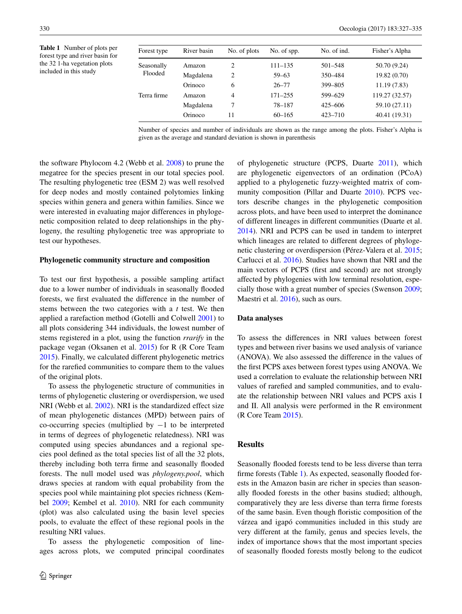<span id="page-3-0"></span>**Table 1** Number of plots per forest type and river basin for the 32 1-ha vegetation plots included in this study

| Forest type           | River basin | No. of plots   | No. of spp. | No. of ind. | Fisher's Alpha |
|-----------------------|-------------|----------------|-------------|-------------|----------------|
| Seasonally<br>Flooded | Amazon      | 2              | $111 - 135$ | $501 - 548$ | 50.70 (9.24)   |
|                       | Magdalena   | 2              | $59 - 63$   | 350-484     | 19.82 (0.70)   |
|                       | Orinoco     | 6              | $26 - 77$   | 399-805     | 11.19(7.83)    |
| Terra firme           | Amazon      | $\overline{4}$ | $171 - 255$ | 599-629     | 119.27 (32.57) |
|                       | Magdalena   | 7              | 78-187      | $425 - 606$ | 59.10 (27.11)  |
|                       | Orinoco     | 11             | $60 - 165$  | $423 - 710$ | 40.41 (19.31)  |

Number of species and number of individuals are shown as the range among the plots. Fisher's Alpha is given as the average and standard deviation is shown in parenthesis

the software Phylocom 4.2 (Webb et al. [2008](#page-8-8)) to prune the megatree for the species present in our total species pool. The resulting phylogenetic tree (ESM 2) was well resolved for deep nodes and mostly contained polytomies linking species within genera and genera within families. Since we were interested in evaluating major differences in phylogenetic composition related to deep relationships in the phylogeny, the resulting phylogenetic tree was appropriate to test our hypotheses.

## **Phylogenetic community structure and composition**

To test our first hypothesis, a possible sampling artifact due to a lower number of individuals in seasonally flooded forests, we first evaluated the difference in the number of stems between the two categories with a *t* test. We then applied a rarefaction method (Gotelli and Colwell [2001](#page-7-29)) to all plots considering 344 individuals, the lowest number of stems registered in a plot, using the function *rrarify* in the package vegan (Oksanen et al. [2015](#page-7-30)) for R (R Core Team [2015](#page-8-9)). Finally, we calculated different phylogenetic metrics for the rarefied communities to compare them to the values of the original plots.

To assess the phylogenetic structure of communities in terms of phylogenetic clustering or overdispersion, we used NRI (Webb et al. [2002](#page-8-0)). NRI is the standardized effect size of mean phylogenetic distances (MPD) between pairs of co-occurring species (multiplied by  $-1$  to be interpreted in terms of degrees of phylogenetic relatedness). NRI was computed using species abundances and a regional species pool defined as the total species list of all the 32 plots, thereby including both terra firme and seasonally flooded forests. The null model used was *phylogeny.pool*, which draws species at random with equal probability from the species pool while maintaining plot species richness (Kembel [2009](#page-7-31); Kembel et al. [2010](#page-7-32)). NRI for each community (plot) was also calculated using the basin level species pools, to evaluate the effect of these regional pools in the resulting NRI values.

To assess the phylogenetic composition of lineages across plots, we computed principal coordinates of phylogenetic structure (PCPS, Duarte [2011\)](#page-7-19), which are phylogenetic eigenvectors of an ordination (PCoA) applied to a phylogenetic fuzzy-weighted matrix of community composition (Pillar and Duarte [2010](#page-8-10)). PCPS vectors describe changes in the phylogenetic composition across plots, and have been used to interpret the dominance of different lineages in different communities (Duarte et al. [2014](#page-7-33)). NRI and PCPS can be used in tandem to interpret which lineages are related to different degrees of phylogenetic clustering or overdispersion (Pérez-Valera et al. [2015](#page-7-34); Carlucci et al. [2016\)](#page-7-2). Studies have shown that NRI and the main vectors of PCPS (first and second) are not strongly affected by phylogenies with low terminal resolution, especially those with a great number of species (Swenson [2009](#page-8-11); Maestri et al. [2016](#page-7-35)), such as ours.

#### **Data analyses**

To assess the differences in NRI values between forest types and between river basins we used analysis of variance (ANOVA). We also assessed the difference in the values of the first PCPS axes between forest types using ANOVA. We used a correlation to evaluate the relationship between NRI values of rarefied and sampled communities, and to evaluate the relationship between NRI values and PCPS axis I and II. All analysis were performed in the R environment (R Core Team [2015\)](#page-8-9).

## **Results**

Seasonally flooded forests tend to be less diverse than terra firme forests (Table [1](#page-3-0)). As expected, seasonally flooded forests in the Amazon basin are richer in species than seasonally flooded forests in the other basins studied; although, comparatively they are less diverse than terra firme forests of the same basin. Even though floristic composition of the várzea and igapó communities included in this study are very different at the family, genus and species levels, the index of importance shows that the most important species of seasonally flooded forests mostly belong to the eudicot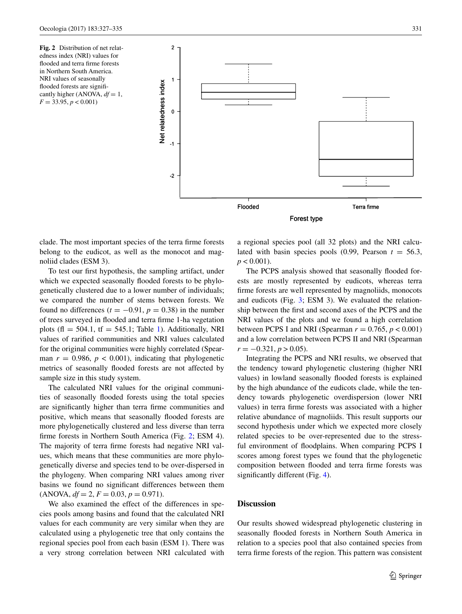<span id="page-4-0"></span>**Fig. 2** Distribution of net relatedness index (NRI) values for flooded and terra firme forests in Northern South America. NRI values of seasonally flooded forests are significantly higher (ANOVA,  $df = 1$ , *F* = 33.95, *p* < 0.001)



clade. The most important species of the terra firme forests belong to the eudicot, as well as the monocot and magnoliid clades (ESM 3).

To test our first hypothesis, the sampling artifact, under which we expected seasonally flooded forests to be phylogenetically clustered due to a lower number of individuals; we compared the number of stems between forests. We found no differences  $(t = -0.91, p = 0.38)$  in the number of trees surveyed in flooded and terra firme 1-ha vegetation plots (fl = 504.[1](#page-3-0), tf = 545.1; Table 1). Additionally, NRI values of rarified communities and NRI values calculated for the original communities were highly correlated (Spearman  $r = 0.986$ ,  $p < 0.001$ ), indicating that phylogenetic metrics of seasonally flooded forests are not affected by sample size in this study system.

The calculated NRI values for the original communities of seasonally flooded forests using the total species are significantly higher than terra firme communities and positive, which means that seasonally flooded forests are more phylogenetically clustered and less diverse than terra firme forests in Northern South America (Fig. [2](#page-4-0); ESM 4). The majority of terra firme forests had negative NRI values, which means that these communities are more phylogenetically diverse and species tend to be over-dispersed in the phylogeny. When comparing NRI values among river basins we found no significant differences between them  $(ANOVA, df = 2, F = 0.03, p = 0.971).$ 

We also examined the effect of the differences in species pools among basins and found that the calculated NRI values for each community are very similar when they are calculated using a phylogenetic tree that only contains the regional species pool from each basin (ESM 1). There was a very strong correlation between NRI calculated with a regional species pool (all 32 plots) and the NRI calculated with basin species pools  $(0.99,$  Pearson  $t = 56.3$ ,  $p < 0.001$ ).

The PCPS analysis showed that seasonally flooded forests are mostly represented by eudicots, whereas terra firme forests are well represented by magnoliids, monocots and eudicots (Fig. [3;](#page-5-0) ESM 3). We evaluated the relationship between the first and second axes of the PCPS and the NRI values of the plots and we found a high correlation between PCPS I and NRI (Spearman  $r = 0.765$ ,  $p < 0.001$ ) and a low correlation between PCPS II and NRI (Spearman  $r = -0.321, p > 0.05$ .

Integrating the PCPS and NRI results, we observed that the tendency toward phylogenetic clustering (higher NRI values) in lowland seasonally flooded forests is explained by the high abundance of the eudicots clade, while the tendency towards phylogenetic overdispersion (lower NRI values) in terra firme forests was associated with a higher relative abundance of magnoliids. This result supports our second hypothesis under which we expected more closely related species to be over-represented due to the stressful environment of floodplains. When comparing PCPS I scores among forest types we found that the phylogenetic composition between flooded and terra firme forests was significantly different (Fig. [4](#page-5-1)).

# **Discussion**

Our results showed widespread phylogenetic clustering in seasonally flooded forests in Northern South America in relation to a species pool that also contained species from terra firme forests of the region. This pattern was consistent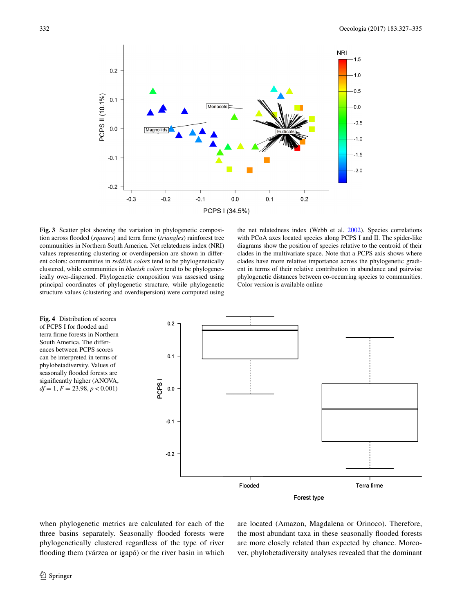

<span id="page-5-0"></span>**Fig. 3** Scatter plot showing the variation in phylogenetic composition across flooded (*squares*) and terra firme (*triangles*) rainforest tree communities in Northern South America. Net relatedness index (NRI) values representing clustering or overdispersion are shown in different colors: communities in *reddish colors* tend to be phylogenetically clustered, while communities in *blueish colors* tend to be phylogenetically over-dispersed. Phylogenetic composition was assessed using principal coordinates of phylogenetic structure, while phylogenetic structure values (clustering and overdispersion) were computed using

the net relatedness index (Webb et al. [2002](#page-8-0)). Species correlations with PCoA axes located species along PCPS I and II. The spider-like diagrams show the position of species relative to the centroid of their clades in the multivariate space. Note that a PCPS axis shows where clades have more relative importance across the phylogenetic gradient in terms of their relative contribution in abundance and pairwise phylogenetic distances between co-occurring species to communities. Color version is available online

<span id="page-5-1"></span>

when phylogenetic metrics are calculated for each of the three basins separately. Seasonally flooded forests were phylogenetically clustered regardless of the type of river flooding them (várzea or igapó) or the river basin in which are located (Amazon, Magdalena or Orinoco). Therefore, the most abundant taxa in these seasonally flooded forests are more closely related than expected by chance. Moreover, phylobetadiversity analyses revealed that the dominant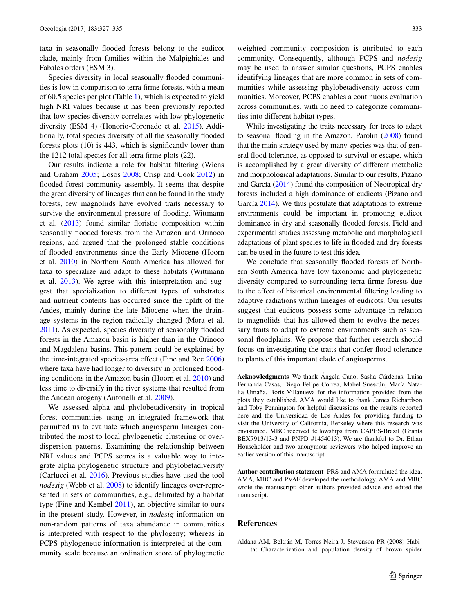taxa in seasonally flooded forests belong to the eudicot clade, mainly from families within the Malpighiales and Fabales orders (ESM 3).

Species diversity in local seasonally flooded communities is low in comparison to terra firme forests, with a mean of 60.5 species per plot (Table [1\)](#page-3-0), which is expected to yield high NRI values because it has been previously reported that low species diversity correlates with low phylogenetic diversity (ESM 4) (Honorio-Coronado et al. [2015\)](#page-7-12). Additionally, total species diversity of all the seasonally flooded forests plots (10) is 443, which is significantly lower than the 1212 total species for all terra firme plots (22).

Our results indicate a role for habitat filtering (Wiens and Graham [2005](#page-8-12); Losos [2008](#page-7-36); Crisp and Cook [2012](#page-7-9)) in flooded forest community assembly. It seems that despite the great diversity of lineages that can be found in the study forests, few magnoliids have evolved traits necessary to survive the environmental pressure of flooding. Wittmann et al. [\(2013](#page-8-2)) found similar floristic composition within seasonally flooded forests from the Amazon and Orinoco regions, and argued that the prolonged stable conditions of flooded environments since the Early Miocene (Hoorn et al. [2010\)](#page-7-25) in Northern South America has allowed for taxa to specialize and adapt to these habitats (Wittmann et al. [2013\)](#page-8-2). We agree with this interpretation and suggest that specialization to different types of substrates and nutrient contents has occurred since the uplift of the Andes, mainly during the late Miocene when the drainage systems in the region radically changed (Mora et al. [2011](#page-7-37)). As expected, species diversity of seasonally flooded forests in the Amazon basin is higher than in the Orinoco and Magdalena basins. This pattern could be explained by the time-integrated species-area effect (Fine and Ree [2006\)](#page-7-3) where taxa have had longer to diversify in prolonged flooding conditions in the Amazon basin (Hoorn et al. [2010\)](#page-7-25) and less time to diversify in the river systems that resulted from the Andean orogeny (Antonelli et al. [2009](#page-7-24)).

We assessed alpha and phylobetadiversity in tropical forest communities using an integrated framework that permitted us to evaluate which angiosperm lineages contributed the most to local phylogenetic clustering or overdispersion patterns. Examining the relationship between NRI values and PCPS scores is a valuable way to integrate alpha phylogenetic structure and phylobetadiversity (Carlucci et al. [2016\)](#page-7-2). Previous studies have used the tool *nodesig* (Webb et al. [2008](#page-8-8)) to identify lineages over-represented in sets of communities, e.g., delimited by a habitat type (Fine and Kembel [2011](#page-7-18)), an objective similar to ours in the present study. However, in *nodesig* information on non-random patterns of taxa abundance in communities is interpreted with respect to the phylogeny; whereas in PCPS phylogenetic information is interpreted at the community scale because an ordination score of phylogenetic

weighted community composition is attributed to each community. Consequently, although PCPS and *nodesig* may be used to answer similar questions, PCPS enables identifying lineages that are more common in sets of communities while assessing phylobetadiversity across communities. Moreover, PCPS enables a continuous evaluation across communities, with no need to categorize communities into different habitat types.

While investigating the traits necessary for trees to adapt to seasonal flooding in the Amazon, Parolin [\(2008\)](#page-7-16) found that the main strategy used by many species was that of general flood tolerance, as opposed to survival or escape, which is accomplished by a great diversity of different metabolic and morphological adaptations. Similar to our results, Pizano and García [\(2014\)](#page-8-13) found the composition of Neotropical dry forests included a high dominance of eudicots (Pizano and García [2014\)](#page-8-13). We thus postulate that adaptations to extreme environments could be important in promoting eudicot dominance in dry and seasonally flooded forests. Field and experimental studies assessing metabolic and morphological adaptations of plant species to life in flooded and dry forests can be used in the future to test this idea.

We conclude that seasonally flooded forests of Northern South America have low taxonomic and phylogenetic diversity compared to surrounding terra firme forests due to the effect of historical environmental filtering leading to adaptive radiations within lineages of eudicots. Our results suggest that eudicots possess some advantage in relation to magnoliids that has allowed them to evolve the necessary traits to adapt to extreme environments such as seasonal floodplains. We propose that further research should focus on investigating the traits that confer flood tolerance to plants of this important clade of angiosperms.

**Acknowledgments** We thank Ángela Cano, Sasha Cárdenas, Luisa Fernanda Casas, Diego Felipe Correa, Mabel Suescún, María Natalia Umaña, Boris Villanueva for the information provided from the plots they established. AMA would like to thank James Richardson and Toby Pennington for helpful discussions on the results reported here and the Universidad de Los Andes for providing funding to visit the University of California, Berkeley where this research was envisioned. MBC received fellowships from CAPES-Brazil (Grants BEX7913/13-3 and PNPD #1454013). We are thankful to Dr. Ethan Householder and two anonymous reviewers who helped improve an earlier version of this manuscript.

**Author contribution statement** PRS and AMA formulated the idea. AMA, MBC and PVAF developed the methodology. AMA and MBC wrote the manuscript; other authors provided advice and edited the manuscript.

#### **References**

<span id="page-6-0"></span>Aldana AM, Beltrán M, Torres-Neira J, Stevenson PR (2008) Habitat Characterization and population density of brown spider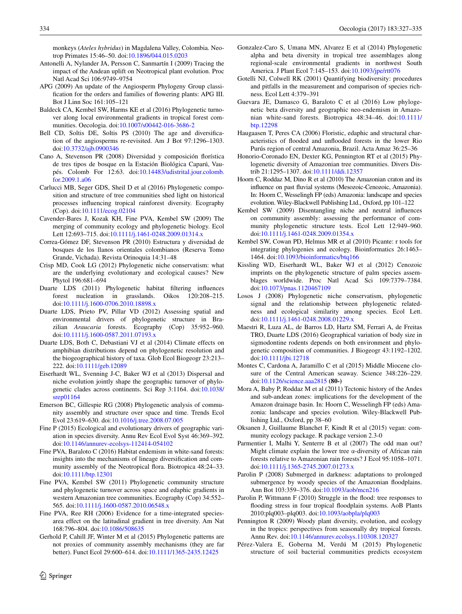monkeys (*Ateles hybridus*) in Magdalena Valley, Colombia. Neotrop Primates 15:46–50. doi[:10.1896/044.015.0203](http://dx.doi.org/10.1896/044.015.0203)

- <span id="page-7-24"></span>Antonelli A, Nylander JA, Persson C, Sanmartín I (2009) Tracing the impact of the Andean uplift on Neotropical plant evolution. Proc Natl Acad Sci 106:9749–9754
- <span id="page-7-27"></span>APG (2009) An update of the Angiosperm Phylogeny Group classification for the orders and families of flowering plants: APG III. Bot J Linn Soc 161:105–121
- <span id="page-7-21"></span>Baldeck CA, Kembel SW, Harms KE et al (2016) Phylogenetic turnover along local environmental gradients in tropical forest communities. Oecologia. doi:[10.1007/s00442-016-3686-2](http://dx.doi.org/10.1007/s00442-016-3686-2)
- <span id="page-7-28"></span>Bell CD, Soltis DE, Soltis PS (2010) The age and diversification of the angiosperms re-revisited. Am J Bot 97:1296–1303. doi[:10.3732/ajb.0900346](http://dx.doi.org/10.3732/ajb.0900346)
- <span id="page-7-22"></span>Cano A, Stevenson PR (2008) Diversidad y composición florística de tres tipos de bosque en la Estación Biológica Caparú, Vaupés. Colomb For 12:63. doi:[10.14483/udistrital.jour.colomb.](http://dx.doi.org/10.14483/udistrital.jour.colomb.for.2009.1.a06) [for.2009.1.a06](http://dx.doi.org/10.14483/udistrital.jour.colomb.for.2009.1.a06)
- <span id="page-7-2"></span>Carlucci MB, Seger GDS, Sheil D et al (2016) Phylogenetic composition and structure of tree communities shed light on historical processes influencing tropical rainforest diversity. Ecography (Cop). doi[:10.1111/ecog.02104](http://dx.doi.org/10.1111/ecog.02104)
- <span id="page-7-8"></span>Cavender-Bares J, Kozak KH, Fine PVA, Kembel SW (2009) The merging of community ecology and phylogenetic biology. Ecol Lett 12:693–715. doi:[10.1111/j.1461-0248.2009.01314.x](http://dx.doi.org/10.1111/j.1461-0248.2009.01314.x)
- <span id="page-7-23"></span>Correa-Gómez DF, Stevenson PR (2010) Estructura y diversidad de bosques de los llanos orientales colombianos (Reserva Tomo Grande, Vichada). Revista Orinoquia 14:31–48
- <span id="page-7-9"></span>Crisp MD, Cook LG (2012) Phylogenetic niche conservatism: what are the underlying evolutionary and ecological causes? New Phytol 196:681–694
- <span id="page-7-19"></span>Duarte LDS (2011) Phylogenetic habitat filtering influences forest nucleation in grasslands. Oikos 120:208–215. doi[:10.1111/j.1600-0706.2010.18898.x](http://dx.doi.org/10.1111/j.1600-0706.2010.18898.x)
- <span id="page-7-20"></span>Duarte LDS, Prieto PV, Pillar VD (2012) Assessing spatial and environmental drivers of phylogenetic structure in Brazilian *Araucaria* forests. Ecography (Cop) 35:952–960. doi[:10.1111/j.1600-0587.2011.07193.x](http://dx.doi.org/10.1111/j.1600-0587.2011.07193.x)
- <span id="page-7-33"></span>Duarte LDS, Both C, Debastiani VJ et al (2014) Climate effects on amphibian distributions depend on phylogenetic resolution and the biogeographical history of taxa. Glob Ecol Biogeogr 23:213– 222. doi[:10.1111/geb.12089](http://dx.doi.org/10.1111/geb.12089)
- <span id="page-7-0"></span>Eiserhardt WL, Svenning J-C, Baker WJ et al (2013) Dispersal and niche evolution jointly shape the geographic turnover of phylogenetic clades across continents. Sci Rep 3:1164. doi[:10.1038/](http://dx.doi.org/10.1038/srep01164) [srep01164](http://dx.doi.org/10.1038/srep01164)
- <span id="page-7-7"></span>Emerson BC, Gillespie RG (2008) Phylogenetic analysis of community assembly and structure over space and time. Trends Ecol Evol 23:619–630. doi[:10.1016/j.tree.2008.07.005](http://dx.doi.org/10.1016/j.tree.2008.07.005)
- <span id="page-7-4"></span>Fine P (2015) Ecological and evolutionary drivers of geographic variation in species diversity. Annu Rev Ecol Evol Syst 46:369–392. doi[:10.1146/annurev-ecolsys-112414-054102](http://dx.doi.org/10.1146/annurev-ecolsys-112414-054102)
- <span id="page-7-14"></span>Fine PVA, Baraloto C (2016) Habitat endemism in white-sand forests: insights into the mechanisms of lineage diversification and community assembly of the Neotropical flora. Biotropica 48:24–33. doi[:10.1111/btp.12301](http://dx.doi.org/10.1111/btp.12301)
- <span id="page-7-18"></span>Fine PVA, Kembel SW (2011) Phylogenetic community structure and phylogenetic turnover across space and edaphic gradients in western Amazonian tree communities. Ecography (Cop) 34:552– 565. doi[:10.1111/j.1600-0587.2010.06548.x](http://dx.doi.org/10.1111/j.1600-0587.2010.06548.x)
- <span id="page-7-3"></span>Fine PVA, Ree RH (2006) Evidence for a time-integrated speciesarea effect on the latitudinal gradient in tree diversity. Am Nat 168:796–804. doi[:10.1086/508635](http://dx.doi.org/10.1086/508635)
- <span id="page-7-1"></span>Gerhold P, Cahill JF, Winter M et al (2015) Phylogenetic patterns are not proxies of community assembly mechanisms (they are far better). Funct Ecol 29:600–614. doi:[10.1111/1365-2435.12425](http://dx.doi.org/10.1111/1365-2435.12425)
- <span id="page-7-11"></span>Gonzalez-Caro S, Umana MN, Alvarez E et al (2014) Phylogenetic alpha and beta diversity in tropical tree assemblages along regional-scale environmental gradients in northwest South America. J Plant Ecol 7:145–153. doi[:10.1093/jpe/rtt076](http://dx.doi.org/10.1093/jpe/rtt076)
- <span id="page-7-29"></span>Gotelli NJ, Colwell RK (2001) Quantifying biodiversity: procedures and pitfalls in the measurement and comparison of species richness. Ecol Lett 4:379–391
- <span id="page-7-13"></span>Guevara JE, Damasco G, Baraloto C et al (2016) Low phylogenetic beta diversity and geographic neo-endemism in Amazonian white-sand forests. Biotropica 48:34–46. doi:[10.1111/](http://dx.doi.org/10.1111/btp.12298) htn 12298
- <span id="page-7-15"></span>Haugaasen T, Peres CA (2006) Floristic, edaphic and structural characteristics of flooded and unflooded forests in the lower Rio Purús region of central Amazonia, Brazil. Acta Amaz 36:25–36
- <span id="page-7-12"></span>Honorio-Coronado EN, Dexter KG, Pennington RT et al (2015) Phylogenetic diversity of Amazonian tree communities. Divers Distrib 21:1295–1307. doi:[10.1111/ddi.12357](http://dx.doi.org/10.1111/ddi.12357)
- <span id="page-7-25"></span>Hoorn C, Roddaz M, Dino R et al (2010) The Amazonian craton and its influence on past fluvial systems (Mesozoic-Cenozoic, Amazonia). In: Hoorn C, Wesselingh FP (eds) Amazonia: landscape and species evolution. Wiley-Blackwell Publishing Ltd., Oxford, pp 101–122
- <span id="page-7-31"></span>Kembel SW (2009) Disentangling niche and neutral influences on community assembly: assessing the performance of community phylogenetic structure tests. Ecol Lett 12:949–960. doi[:10.1111/j.1461-0248.2009.01354.x](http://dx.doi.org/10.1111/j.1461-0248.2009.01354.x)
- <span id="page-7-32"></span>Kembel SW, Cowan PD, Helmus MR et al (2010) Picante: r tools for integrating phylogenies and ecology. Bioinformatics 26:1463– 1464. doi:[10.1093/bioinformatics/btq166](http://dx.doi.org/10.1093/bioinformatics/btq166)
- <span id="page-7-6"></span>Kissling WD, Eiserhardt WL, Baker WJ et al (2012) Cenozoic imprints on the phylogenetic structure of palm species assemblages worldwide. Proc Natl Acad Sci 109:7379–7384. doi[:10.1073/pnas.1120467109](http://dx.doi.org/10.1073/pnas.1120467109)
- <span id="page-7-36"></span>Losos J (2008) Phylogenetic niche conservatism, phylogenetic signal and the relationship between phylogenetic relatedness and ecological similarity among species. Ecol Lett. doi[:10.1111/j.1461-0248.2008.01229.x](http://dx.doi.org/10.1111/j.1461-0248.2008.01229.x)
- <span id="page-7-35"></span>Maestri R, Luza AL, de Barros LD, Hartz SM, Ferrari A, de Freitas TRO, Duarte LDS (2016) Geographical variation of body size in sigmodontine rodents depends on both environment and phylogenetic composition of communities. J Biogeogr 43:1192–1202. doi[:10.1111/jbi.12718](http://dx.doi.org/10.1111/jbi.12718)
- <span id="page-7-26"></span>Montes C, Cardona A, Jaramillo C et al (2015) Middle Miocene closure of the Central American seaway. Science 348:226–229. doi[:10.1126/science.aaa2815](http://dx.doi.org/10.1126/science.aaa2815) **(80-)**
- <span id="page-7-37"></span>Mora A, Baby P, Roddaz M et al (2011) Tectonic history of the Andes and sub-andean zones: implications for the development of the Amazon drainage basin. In: Hoorn C, Wesselingh FP (eds) Amazonia: landscape and species evolution. Wiley-Blackwell Publishing Ltd., Oxford, pp 38–60
- <span id="page-7-30"></span>Oksanen J, Guillaume Blanchet F, Kindt R et al (2015) vegan: community ecology package. R package version 2.3-0
- <span id="page-7-5"></span>Parmentier I, Malhi Y, Senterre B et al (2007) The odd man out? Might climate explain the lower tree α-diversity of African rain forests relative to Amazonian rain forests? J Ecol 95:1058–1071. doi[:10.1111/j.1365-2745.2007.01273.x](http://dx.doi.org/10.1111/j.1365-2745.2007.01273.x)
- <span id="page-7-16"></span>Parolin P (2008) Submerged in darkness: adaptations to prolonged submergence by woody species of the Amazonian floodplains. Ann Bot 103:359–376. doi:[10.1093/aob/mcn216](http://dx.doi.org/10.1093/aob/mcn216)
- <span id="page-7-17"></span>Parolin P, Wittmann F (2010) Struggle in the flood: tree responses to flooding stress in four tropical floodplain systems. AoB Plants 2010:plq003–plq003. doi[:10.1093/aobpla/plq003](http://dx.doi.org/10.1093/aobpla/plq003)
- <span id="page-7-10"></span>Pennington R (2009) Woody plant diversity, evolution, and ecology in the tropics: perspectives from seasonally dry tropical forests. Annu Rev. doi:[10.1146/annurev.ecolsys.110308.120327](http://dx.doi.org/10.1146/annurev.ecolsys.110308.120327)
- <span id="page-7-34"></span>Pérez-Valera E, Goberna M, Verdú M (2015) Phylogenetic structure of soil bacterial communities predicts ecosystem